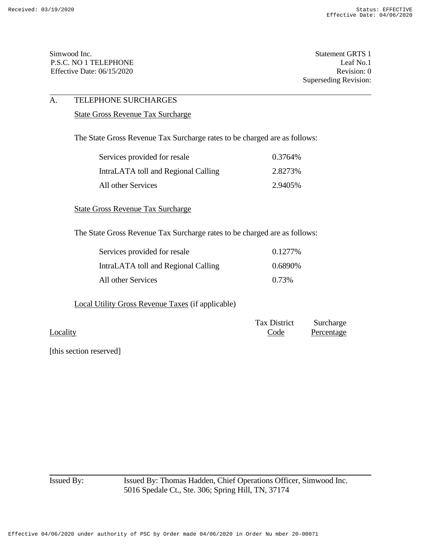Simwood Inc. Statement GRTS 1 P.S.C. NO 1 TELEPHONE Leaf No.1 Effective Date: 06/15/2020 Revision: 0

Superseding Revision:

# A. TELEPHONE SURCHARGES

#### State Gross Revenue Tax Surcharge

The State Gross Revenue Tax Surcharge rates to be charged are as follows:

| Services provided for resale        | 0.3764\% |
|-------------------------------------|----------|
| IntraLATA toll and Regional Calling | 2.8273\% |
| All other Services                  | 2.9405\% |

State Gross Revenue Tax Surcharge

The State Gross Revenue Tax Surcharge rates to be charged are as follows:

| Services provided for resale        | 0.1277%  |
|-------------------------------------|----------|
| IntraLATA toll and Regional Calling | 0.6890\% |
| All other Services                  | 0.73%    |

Local Utility Gross Revenue Taxes (if applicable)

| Tax District | Surcharge  |
|--------------|------------|
| Code         | Percentage |
|              |            |

[this section reserved]

Issued By: Issued By: Thomas Hadden, Chief Operations Officer, Simwood Inc. 5016 Spedale Ct., Ste. 306; Spring Hill, TN, 37174